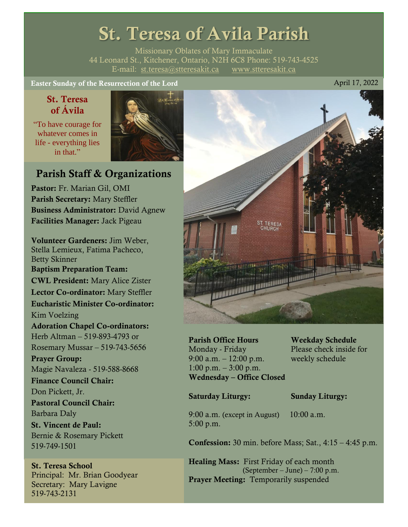# St. Teresa of Avila Parish

Missionary Oblates of Mary Immaculate 44 Leonard St., Kitchener, Ontario, N2H 6C8 Phone: 519-743-4525 E-mail: [st.teresa@stteresakit.ca](mailto:st.teresa@stteresakit.ca) [www.stteresakit.ca](http://www.stteresakit.ca/)

Easter Sunday of the Resurrection of the Lord April 17, 2022

# St. Teresa of Ávila

"To have courage for whatever comes in life - everything lies in that"



# Parish Staff & Organizations

Pastor: Fr. Marian Gil, OMI Parish Secretary: Mary Steffler Business Administrator: David Agnew Facilities Manager: Jack Pigeau

Volunteer Gardeners: Jim Weber, Stella Lemieux, Fatima Pacheco, Betty Skinner Baptism Preparation Team: CWL President: Mary Alice Zister Lector Co-ordinator: Mary Steffler Eucharistic Minister Co-ordinator: Kim Voelzing Adoration Chapel Co-ordinators: Herb Altman – 519-893-4793 or Rosemary Mussar – 519-743-5656 Prayer Group: Magie Navaleza - 519-588-8668 Finance Council Chair: Don Pickett, Jr. Pastoral Council Chair: Barbara Daly St. Vincent de Paul: Bernie & Rosemary Pickett 519-749-1501

### St. Teresa School Principal: Mr. Brian Goodyear Secretary: Mary Lavigne 519-743-2131



Parish Office Hours Weekday Schedule Monday - Friday Please check inside for 9:00 a.m. – 12:00 p.m. weekly schedule  $1:00 \text{ p.m.} - 3:00 \text{ p.m.}$ Wednesday – Office Closed

#### Saturday Liturgy: Sunday Liturgy:

9:00 a.m. (except in August) 10:00 a.m. 5:00 p.m.

Confession: 30 min. before Mass; Sat., 4:15 – 4:45 p.m.

Healing Mass: First Friday of each month (September – June) – 7:00 p.m. Prayer Meeting: Temporarily suspended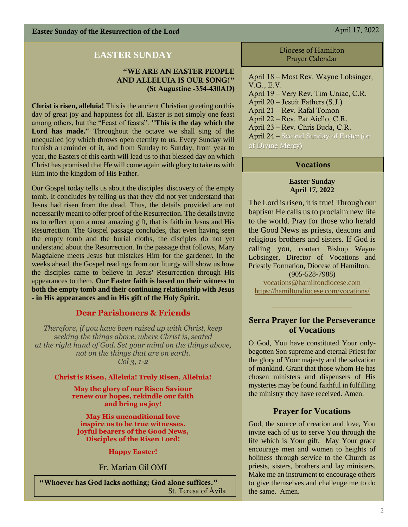# **EASTER SUNDAY**

#### "WE ARE AN EASTER PEOPLE AND ALLELUIA IS OUR SONG!" (St Augustine -354-430AD)

**Christ is risen, alleluia!** This is the ancient Christian greeting on this day of great joy and happiness for all. Easter is not simply one feast among others, but the "Feast of feasts". **"This is the day which the Lord has made."** Throughout the octave we shall sing of the unequalled joy which throws open eternity to us. Every Sunday will furnish a reminder of it, and from Sunday to Sunday, from year to year, the Easters of this earth will lead us to that blessed day on which Christ has promised that He will come again with glory to take us with Him into the kingdom of His Father.

Our Gospel today tells us about the disciples' discovery of the empty tomb. It concludes by telling us that they did not yet understand that Jesus had risen from the dead. Thus, the details provided are not necessarily meant to offer proof of the Resurrection. The details invite us to reflect upon a most amazing gift, that is faith in Jesus and His Resurrection. The Gospel passage concludes, that even having seen the empty tomb and the burial cloths, the disciples do not yet understand about the Resurrection. In the passage that follows, Mary Magdalene meets Jesus but mistakes Him for the gardener. In the weeks ahead, the Gospel readings from our liturgy will show us how the disciples came to believe in Jesus' Resurrection through His appearances to them. **Our Easter faith is based on their witness to both the empty tomb and their continuing relationship with Jesus - in His appearances and in His gift of the Holy Spirit.**

# **Dear Parishoners & Friends**

*Therefore, if you have been raised up with Christ, keep seeking the things above, where Christ is, seated at the right hand of God. Set your mind on the things above, not on the things that are on earth. Col 3, 1-2*

**Christ is Risen, Alleluia! Truly Risen, Alleluia!**

**May the glory of our Risen Saviour renew our hopes, rekindle our faith and bring us joy!**

**May His unconditional love inspire us to be true witnesses, joyful bearers of the Good News, Disciples of the Risen Lord!**

**Happy Easter!**

Fr. Marian Gil OMI

"Whoever has God lacks nothing; God alone suffices." St. Teresa of Ávila Diocese of Hamilton Prayer Calendar

April 18 – Most Rev. Wayne Lobsinger, V.G., E.V. April 19 – Very Rev. Tim Uniac, C.R. April 20 – Jesuit Fathers (S.J.) April 21 – Rev. Rafal Tomon April 22 – Rev. Pat Aiello, C.R. April 23 – Rev. Chris Buda, C.R. April 24 – Second Sunday of Easter (or of Divine Mercy)

#### Vocations

#### **Easter Sunday April 17, 2022**

The Lord is risen, it is true! Through our baptism He calls us to proclaim new life to the world. Pray for those who herald the Good News as priests, deacons and religious brothers and sisters. If God is calling you, contact Bishop Wayne Lobsinger, Director of Vocations and Priestly Formation, Diocese of Hamilton,

(905-528-7988) [vocations@hamiltondiocese.com](mailto:vocations@hamiltondiocese.com)  <https://hamiltondiocese.com/vocations/>

#### **Serra Prayer for the Perseverance of Vocations**

O God, You have constituted Your onlybegotten Son supreme and eternal Priest for the glory of Your majesty and the salvation of mankind. Grant that those whom He has chosen ministers and dispensers of His mysteries may be found faithful in fulfilling the ministry they have received. Amen.

#### **Prayer for Vocations**

God, the source of creation and love, You invite each of us to serve You through the life which is Your gift. May Your grace encourage men and women to heights of holiness through service to the Church as priests, sisters, brothers and lay ministers. Make me an instrument to encourage others to give themselves and challenge me to do the same. Amen.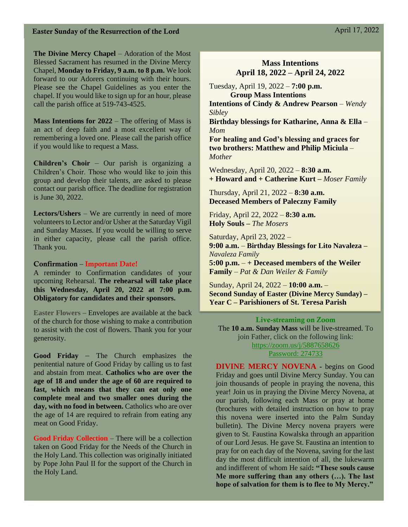**The Divine Mercy Chapel** – Adoration of the Most Blessed Sacrament has resumed in the Divine Mercy Chapel, **Monday to Friday, 9 a.m. to 8 p.m.** We look forward to our Adorers continuing with their hours. Please see the Chapel Guidelines as you enter the chapel. If you would like to sign up for an hour, please call the parish office at 519-743-4525.

**Mass Intentions for 2022** – The offering of Mass is an act of deep faith and a most excellent way of remembering a loved one. Please call the parish office if you would like to request a Mass.

**Children's Choir** – Our parish is organizing a Children's Choir. Those who would like to join this group and develop their talents, are asked to please contact our parish office. The deadline for registration is June 30, 2022.

**Lectors/Ushers** – We are currently in need of more volunteers to Lector and/or Usher at the Saturday Vigil and Sunday Masses. If you would be willing to serve in either capacity, please call the parish office. Thank you.

#### Confirmation – Important Date!

A reminder to Confirmation candidates of your upcoming Rehearsal. **The rehearsal will take place this Wednesday, April 20, 2022 at 7:00 p.m. Obligatory for candidates and their sponsors.** 

**Easter Flowers** – Envelopes are available at the back of the church for those wishing to make a contribution to assist with the cost of flowers. Thank you for your generosity.

**Good Friday** – The Church emphasizes the penitential nature of Good Friday by calling us to fast and abstain from meat. **Catholics who are over the age of 18 and under the age of 60 are required to fast, which means that they can eat only one complete meal and two smaller ones during the day, with no food in between.** Catholics who are over the age of 14 are required to refrain from eating any meat on Good Friday.

**Good Friday Collection** – There will be a collection taken on Good Friday for the Needs of the Church in the Holy Land. This collection was originally initiated by Pope John Paul II for the support of the Church in the Holy Land.

#### **Mass Intentions April 18, 2022 – April 24, 2022**

Tuesday, April 19, 2022 – **7:00 p.m. Group Mass Intentions Intentions of Cindy & Andrew Pearson** *– Wendy* 

*Sibley*

**Birthday blessings for Katharine, Anna & Ella** *– Mom*

**For healing and God's blessing and graces for two brothers: Matthew and Philip Miciula** *– Mother* 

Wednesday, April 20, 2022 – **8:30 a.m. + Howard and + Catherine Kurt –** *Moser Family*

Thursday, April 21, 2022 – **8:30 a.m. Deceased Members of Paleczny Family**

Friday, April 22, 2022 – **8:30 a.m.** **Holy Souls –** *The Mosers*

Saturday, April 23, 2022 – **9:00 a.m.** – **Birthday Blessings for Lito Navaleza –** *Navaleza Family* **5:00 p.m.** – **+ Deceased members of the Weiler Family** – *Pat & Dan Weiler & Family*

Sunday, April 24, 2022 – **10:00 a.m.** – **Second Sunday of Easter (Divine Mercy Sunday) – Year C – Parishioners of St. Teresa Parish** 

Live-streaming on Zoom The **10 a.m. Sunday Mass** will be live-streamed. To join Father, click on the following link: <https://zoom.us/j/5887658626> Password: 274733

**DIVINE MERCY NOVENA -** begins on Good Friday and goes until Divine Mercy Sunday. You can join thousands of people in praying the novena, this year! Join us in praying the Divine Mercy Novena, at our parish, following each Mass or pray at home (brochures with detailed instruction on how to pray this novena were inserted into the Palm Sunday bulletin). The Divine Mercy novena prayers were given to St. Faustina Kowalska through an apparition of our Lord Jesus. He gave St. Faustina an intention to pray for on each day of the Novena, saving for the last day the most difficult intention of all, the lukewarm and indifferent of whom He said**: "These souls cause Me more suffering than any others (…). The last hope of salvation for them is to flee to My Mercy."**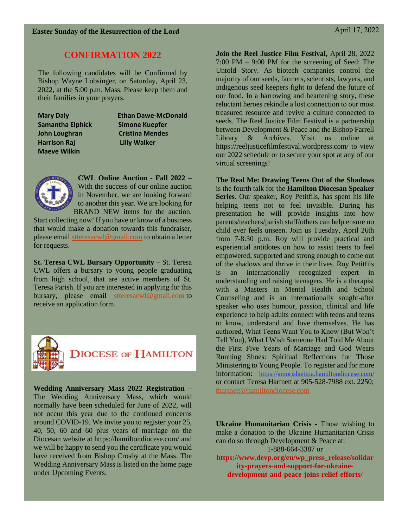# **CONFIRMATION 2022**

The following candidates will be Confirmed by Bishop Wayne Lobsinger, on Saturday, April 23, 2022, at the 5:00 p.m. Mass. Please keep them and their families in your prayers.

| <b>Mary Daly</b>        |  |
|-------------------------|--|
| <b>Samantha Elphick</b> |  |
| John Loughran           |  |
| <b>Harrison Raj</b>     |  |
| <b>Maeve Wilkin</b>     |  |

**Ethan Dawe-McDonald Simone Kuepfer Cristina Mendes Lilly Walker** 



**CWL Online Auction - Fall 2022 –** With the success of our online auction in November, we are looking forward to another this year. We are looking for BRAND NEW items for the auction.

Start collecting now! If you have or know of a business that would make a donation towards this fundraiser, please email [stteresacwl@gmail.com](mailto:stteresacwl@gmail.com) to obtain a letter for requests.

**St. Teresa CWL Bursary Opportunity –** St. Teresa CWL offers a bursary to young people graduating from high school, that are active members of St. Teresa Parish. If you are interested in applying for this bursary, please email [stteresacwl@gmail.com](mailto:stteresacwl@gmail.com) to receive an application form.



**Wedding Anniversary Mass 2022 Registration –** The Wedding Anniversary Mass, which would normally have been scheduled for June of 2022, will not occur this year due to the continued concerns around COVID-19. We invite you to register your 25, 40, 50, 60 and 60 plus years of marriage on the Diocesan website at https://hamiltondiocese.com/ and we will be happy to send you the certificate you would have received from Bishop Crosby at the Mass. The Wedding Anniversary Mass is listed on the home page under Upcoming Events.

**Join the Reel Justice Film Festival,** April 28, 2022 7:00 PM – 9:00 PM for the screening of Seed: The Untold Story. As biotech companies control the majority of our seeds, farmers, scientists, lawyers, and indigenous seed keepers fight to defend the future of our food. In a harrowing and heartening story, these reluctant heroes rekindle a lost connection to our most treasured resource and revive a culture connected to seeds. The Reel Justice Film Festival is a partnership between Development & Peace and the Bishop Farrell Library & Archives. Visit us online at https://reeljusticefilmfestival.wordpress.com/ to view our 2022 schedule or to secure your spot at any of our virtual screenings!

**The Real Me: Drawing Teens Out of the Shadows**  is the fourth talk for the **Hamilton Diocesan Speaker Series.** Our speaker, Roy Petitfils, has spent his life helping teens not to feel invisible. During his presentation he will provide insights into how parents/teachers/parish staff/others can help ensure no child ever feels unseen. Join us Tuesday, April 26th from 7-8:30 p.m. Roy will provide practical and experiential antidotes on how to assist teens to feel empowered, supported and strong enough to come out of the shadows and thrive in their lives. Roy Petitfils is an internationally recognized expert in understanding and raising teenagers. He is a therapist with a Masters in Mental Health and School Counseling and is an internationally sought-after speaker who uses humour, passion, clinical and life experience to help adults connect with teens and teens to know, understand and love themselves. He has authored, What Teens Want You to Know (But Won't Tell You), What I Wish Someone Had Told Me About the First Five Years of Marriage and God Wears Running Shoes: Spiritual Reflections for Those Ministering to Young People. To register and for more information: <https://amorislaetitia.hamiltondiocese.com/> or contact Teresa Hartnett at 905-528-7988 ext. 2250; [thartnett@hamiltondiocese.com](mailto:thartnett@hamiltondiocese.com)

**Ukraine Humanitarian Crisis -** Those wishing to make a donation to the Ukraine Humanitarian Crisis can do so through Development & Peace at: 1-888-664-3387 or

**https://www.devp.org/en/wp\_press\_release/solidar ity-prayers-and-support-for-ukrainedevelopment-and-peace-joins-relief-efforts/**